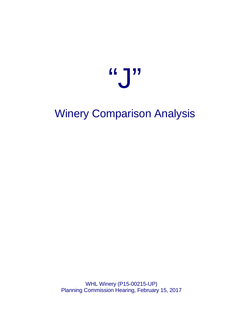# "J"

## Winery Comparison Analysis

WHL Winery (P15-00215-UP) Planning Commission Hearing, February 15, 2017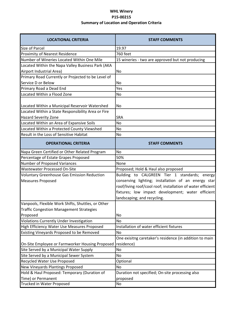### **WHL Winery P15-00215 Summary of Location and Operation Criteria**

| <b>LOCATIONAL CRITERIA</b>                         | <b>STAFF COMMENTS</b>                                       |
|----------------------------------------------------|-------------------------------------------------------------|
| Size of Parcel                                     | 19.97                                                       |
| Proximity of Nearest Residence                     | 760 feet                                                    |
| Number of Wineries Located Within One Mile         | 15 wineries - two are approved but not producing            |
| Located Within the Napa Valley Business Park (AKA  |                                                             |
| Airport Industrial Area)                           | No                                                          |
| Primary Road Currently or Projected to be Level of |                                                             |
| Service D or Below                                 | No                                                          |
| Primary Road a Dead End                            | Yes                                                         |
| Located Within a Flood Zone                        | <b>No</b>                                                   |
| Located Within a Municipal Reservoir Watershed     | No.                                                         |
| Located Within a State Responsibility Area or Fire |                                                             |
| <b>Hazard Severity Zone</b>                        | <b>SRA</b>                                                  |
| Located Within an Area of Expansive Soils          | <b>No</b>                                                   |
| Located Within a Protected County Viewshed         | <b>No</b>                                                   |
| Result in the Loss of Sensitive Habitat            | No                                                          |
| <b>OPERATIONAL CRITERIA</b>                        | <b>STAFF COMMENTS</b>                                       |
| Napa Green Certified or Other Related Program      | <b>No</b>                                                   |
| Percentage of Estate Grapes Proposed               | 50%                                                         |
| Number of Proposed Variances                       | None                                                        |
| Wastewater Processed On-Site                       | Proposed; Hold & Haul also proposed                         |
| <b>Voluntary Greenhouse Gas Emission Reduction</b> | Building to CALGREEN Tier 1 standards; energy               |
| <b>Measures Proposed</b>                           | conserving lighting; installation of an energy star         |
|                                                    | roof/living roof/cool roof; installation of water efficient |
|                                                    | fixtures; low impact development; water efficient           |
|                                                    | landscaping; and recycling.                                 |
| Vanpools, Flexible Work Shifts, Shuttles, or Other |                                                             |
| <b>Traffic Congestion Management Strategies</b>    |                                                             |
| Proposed                                           | No                                                          |
| <b>Violations Currently Under Investigation</b>    | No                                                          |
| High Efficiency Water Use Measures Proposed        | Installation of water efficient fixtures                    |
| Existing Vineyards Proposed to be Removed          | <b>No</b>                                                   |
|                                                    | One exisitng caretaker's residence (in addition to main     |
| On-Site Employee or Farmworker Housing Proposed    | residence)                                                  |
| Site Served by a Municipal Water Supply            | No                                                          |
| Site Served by a Municipal Sewer System            | No                                                          |
| Recycled Water Use Proposed                        | Optional                                                    |
| New Vineyards Plantings Proposed                   | No                                                          |
| Hold & Haul Proposed: Temporary (Duration of       | Duration not specified; On-site processing also             |
| Time) or Permanent                                 | proposed                                                    |
| Trucked in Water Proposed                          | No                                                          |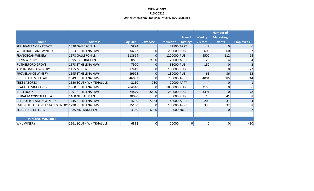#### **WHL Winery P15-00215 Wineries Within One Mile of APN 027-460-013**

| <b>Name</b>                                      | <b>Address</b>                 | <b>Bldg Size</b> | <b>Cave Size</b> | Production  | Tours/<br><b>Tastings</b> | <b>Weekly</b><br><b>Visitors</b> | <b>Number of</b><br><b>Marketing</b><br><b>Events</b> | <b>Employees</b>       |
|--------------------------------------------------|--------------------------------|------------------|------------------|-------------|---------------------------|----------------------------------|-------------------------------------------------------|------------------------|
| <b>SULLIVAN FAMILY ESTATE</b>                    | 1090 GALLERON LN               | 5894             |                  | 22500 APPT  |                           |                                  |                                                       | 6                      |
| <b>WHITEHALL LANE WINERY</b>                     | 1563 ST HELENA HWY             | 34227            | 0                | 200000 PUB  |                           | 600                              | 60                                                    |                        |
| <b>FRANCISCAN WINERY</b>                         | 1178 GALLERON LN               | 118694           | 0                | 1200000 PUB |                           | 3500                             | 4612                                                  | 94                     |
| <b>DANA WINERY</b>                               | 1895 CABERNET LN               | 8886             | 19000            | 20000 APPT  |                           | 20                               |                                                       |                        |
| <b>RUTHERFORD GROVE</b>                          | 1673 ST HELENA HWY             | 7900             | 0                | 35000 PUB   |                           | 150                              |                                                       |                        |
| <b>ALPHA OMEGA WINERY</b>                        | 1155 MEE LN                    | 17419            | 0                | 100000 PUB  |                           | 0                                |                                                       | 22                     |
| <b>PROVENANCE WINERY</b>                         | 1695 ST HELENA HWY             | 39925            | 0                | 180000 PUB  |                           | 65                               | 36                                                    | 12                     |
| <b>GRGICH HILLS CELLARS</b>                      | 1849 ST HELENA HWY             | 46083            | 0                | 250000 APPT |                           | 4004                             | 385                                                   | 44                     |
| <b>TRES SABORES</b>                              | <b>1620 SOUTH WHITEHALL LN</b> | 2150             | 780              | 20000 APPT  |                           | 4                                |                                                       |                        |
| <b>BEAULIEU VINEYARDS</b>                        | 1960 ST HELENA HWY             | 284940           | 0                | 1800000 PUB |                           | 3150                             |                                                       | 86                     |
| <b>INGLENOOK</b>                                 | 1991 ST HELENA HWY             | 74879            | 18400            | 250000 PUB  |                           | 3391                             | $\mathbf{0}$                                          | 78                     |
| NEIBAUM COPPOLA ESTATE                           | 1460 NEIBAUM LN                | 30090            | 0                | 50000 PUB   |                           | 15                               | 41                                                    | 8 <sub>1</sub>         |
| <b>DEL DOTTO FAMILY WINERY</b>                   | 1445 ST HELENA HWY             | 4200             | 15163            | 48000 APPT  |                           | 200                              | 31                                                    | $\boldsymbol{\Lambda}$ |
| LMR RUTHEERFORD ESTATE WINERY 1790 ST HELENA HWY |                                | 15160            | 0                | 100000 APPT |                           | 330                              | 32                                                    | 8                      |
| <b>TOAD HALL CELLARS</b>                         | 1885 ZINFANDEL LN              | 3360             | 6000             | 30000 NO    |                           | 0                                | $\Omega$                                              |                        |
|                                                  |                                |                  |                  |             |                           |                                  |                                                       |                        |
| <b>PENDING WINERIES</b>                          |                                |                  |                  |             |                           |                                  |                                                       |                        |
| <b>WHL WINERY</b>                                | 1561 SOUTH WHITEHALL LN        | 6812             | 0                | 10000       | 0                         | 0                                | $\Omega$                                              | $\leq 10$              |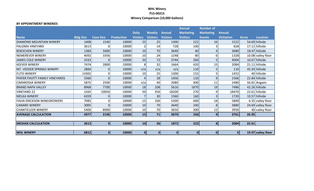#### **WHL Winery P15-00215 Winery Comparison (10,000 Gallons)**

#### **BY APPOINTMENT WINERIES**

|                                   |                  |                  |                   |                 |                 |                 | <b>Annual</b>    | <b>Number of</b> |                   |              |                    |
|-----------------------------------|------------------|------------------|-------------------|-----------------|-----------------|-----------------|------------------|------------------|-------------------|--------------|--------------------|
|                                   |                  |                  |                   | <b>Daily</b>    | <b>Weekly</b>   | <b>Annual</b>   | <b>Marketing</b> | <b>Marketing</b> | <b>Annual</b>     |              |                    |
| <b>Name</b>                       | <b>Bldg Size</b> | <b>Cave Size</b> | <b>Production</b> | <b>Visitors</b> | <b>Visitors</b> | <b>Visitors</b> | <b>Visitors</b>  | <b>Events</b>    | <b>Visitation</b> | <b>Acres</b> | <b>Location</b>    |
| DIAMOND MOUNTAIN WINERY           | 1408             | 1540             | 10000             | 25              | 25              | 1300            | 222              | 16               | 1522              |              | 54.69 hillside     |
| <b>PALOMA VINEYARD</b>            | 3613             | 0                | 10000             |                 | 14              | 728             | 100              | 3                | 828               |              | 17.11 hillside     |
| <b>BOESCHEN WINERY</b>            | 1360             | 5000             | 10000             | 10              | 70              | 3640            | 40               | 4                | 3680              |              | 18.47 hillside     |
| <b>NEMEREVER WINERY</b>           | 4092             | 3356             | 10000             | 10              | 24              | 1248            | 80               | 6                | 1328              |              | 10.08 valley floor |
| <b>JAMES COLE WINERY</b>          | 3333             | 0                | 10000             | 20              | 72              | 3744            | 260              | 5                | 4004              |              | 10.67 hillside     |
| <b>KEEVER WINERY</b>              | 7474             | 2800             | 10000             | 8               | 32              | 1664            | 420              | 15               | 2084              |              | 21.11 hillside     |
| MT. VEEDER SPRINGS WINERY         | 2860             | 0                | 10000             | n/a             | n/a             | n/a             | 110              | 5                | 110               |              | 45.93 hillside     |
| <b>FUTO WINERY</b>                | 14302            | 0                | 10000             | 10              | 25              | 1300            | 152              | 5                | 1452              |              | 40 hillside        |
| PHIFER PAVITT FAMILY VINEYARDS    | 3360             | 0                | 10000             | Δ               | 28              | 1456            | 110              | 9                | 1566              |              | 22.84 hillside     |
| <b>CIMAROSSA WINERY</b>           | 5875             | 2500             | 10000             | n/a             | 40              | 2080            | 400              | 11               | 2480              |              | 56.81 Angwin       |
| <b>BRAND NAPA VALLEY</b>          | 8968             | 7700             | 10000             | 18              | 108             | 5616            | 1870             | 19               | 7486              |              | 42.26 hillside     |
| <b>VINEYARD 22</b>                | 1565             | 10050            | 10000             | 50              | 350             | 18200           | 270              | 9                | 18470             |              | 22.61 hillside     |
| <b>MELKA WINERY</b>               | 6359             | 01               | 10000             | $\overline{7}$  | 30              | 1560            | 160              | 3                | 1720              |              | 10.57 hillside     |
| <b>FAVIA ERICKSON WINEGROWERS</b> | 7085             | 0                | 10000             | 15              | 100             | 5200            | 600              | 18               | 5800              |              | 6.35 valley floor  |
| <b>CANARD WINERY</b>              | 3005             | 0                | 10000             | 10              | 70              | 3640            | 240              | 8                | 3880              |              | 24.69 valley floor |
| <b>CHANTICLEER WINERY</b>         | 5400             | 8900             | 10000             | 10              | 70              | 3650            | 300              | 12               | 3950              |              | 40 valley floor    |
| <b>AVERAGE CALCULATION</b>        | 4977             | 2196             | 10000             | 15              | 71              | 3670            | 336              | $\overline{9}$   | 3761              | 26.95        |                    |
|                                   |                  |                  |                   |                 |                 |                 |                  |                  |                   |              |                    |
| <b>MEDIAN CALCULATION</b>         | 3613             | $\mathbf{0}$     | 10000             | 10 <sup>1</sup> | 36              | 1872            | 222              | 8 <sup>1</sup>   | 2084              | 22.61        |                    |
|                                   |                  |                  |                   |                 |                 |                 |                  |                  |                   |              |                    |
| <b>WHL WINERY</b>                 | 6812             | 01               | 10000             | 0               | 0               | $\mathbf 0$     | $\boldsymbol{0}$ | 0                | 0                 |              | 19.97 valley floor |